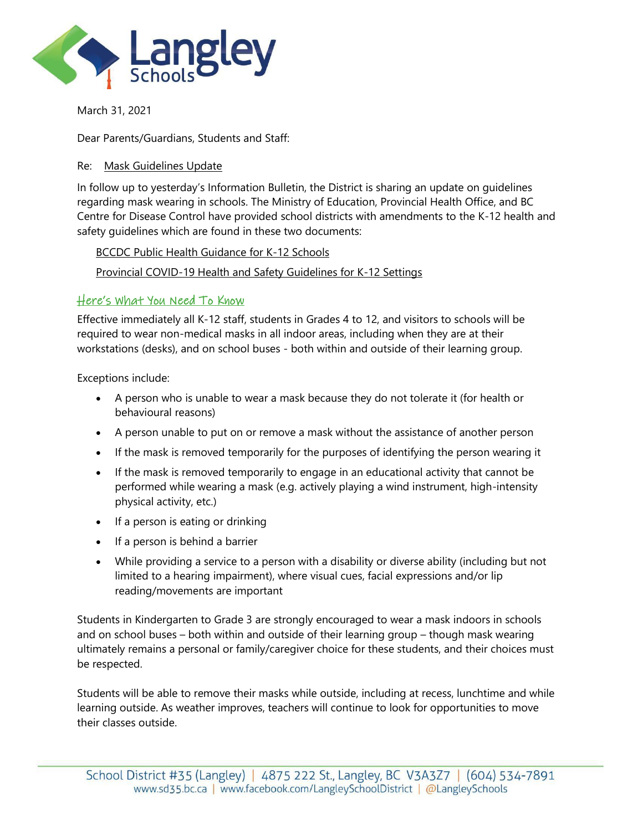

March 31, 2021

Dear Parents/Guardians, Students and Staff:

## Re: Mask Guidelines Update

In follow up to yesterday's Information Bulletin, the District is sharing an update on guidelines regarding mask wearing in schools. The Ministry of Education, Provincial Health Office, and BC Centre for Disease Control have provided school districts with amendments to the K-12 health and safety guidelines which are found in these two documents:

**[BCCDC Public Health Guidance for K-12 Schools](http://www.bccdc.ca/Health-Info-Site/Documents/COVID_public_guidance/Addendum_Public_Health_Guidance_K-12.pdf)** 

[Provincial COVID-19 Health and Safety Guidelines for K-12 Settings](https://www2.gov.bc.ca/assets/gov/education/administration/kindergarten-to-grade-12/safe-caring-orderly/k-12-covid-19-health-safety-guidlines.pdf)

## Here's What You Need To Know

Effective immediately all K-12 staff, students in Grades 4 to 12, and visitors to schools will be required to wear non-medical masks in all indoor areas, including when they are at their workstations (desks), and on school buses - both within and outside of their learning group.

Exceptions include:

- A person who is unable to wear a mask because they do not tolerate it (for health or behavioural reasons)
- A person unable to put on or remove a mask without the assistance of another person
- If the mask is removed temporarily for the purposes of identifying the person wearing it
- If the mask is removed temporarily to engage in an educational activity that cannot be performed while wearing a mask (e.g. actively playing a wind instrument, high-intensity physical activity, etc.)
- If a person is eating or drinking
- If a person is behind a barrier
- While providing a service to a person with a disability or diverse ability (including but not limited to a hearing impairment), where visual cues, facial expressions and/or lip reading/movements are important

Students in Kindergarten to Grade 3 are strongly encouraged to wear a mask indoors in schools and on school buses – both within and outside of their learning group – though mask wearing ultimately remains a personal or family/caregiver choice for these students, and their choices must be respected.

Students will be able to remove their masks while outside, including at recess, lunchtime and while learning outside. As weather improves, teachers will continue to look for opportunities to move their classes outside.